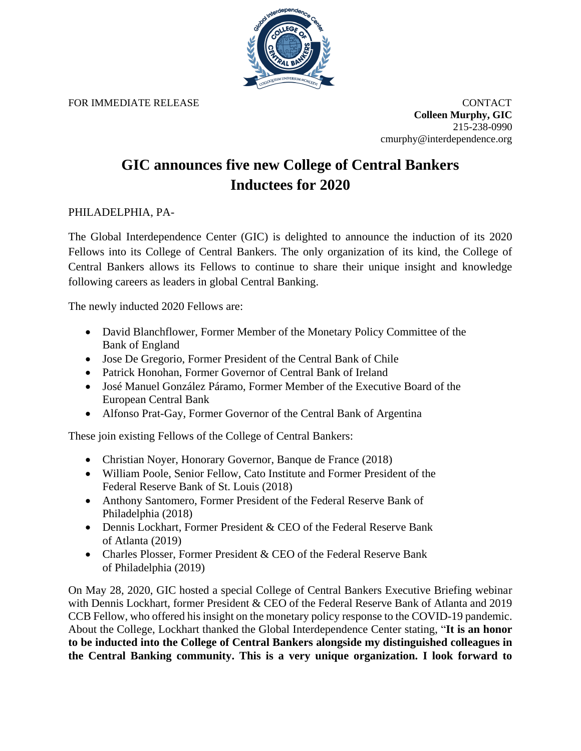

FOR IMMEDIATE RELEASE **CONTACT** 

**Colleen Murphy, GIC** 215-238-0990 cmurphy@interdependence.org

## **GIC announces five new College of Central Bankers Inductees for 2020**

## PHILADELPHIA, PA-

The Global Interdependence Center (GIC) is delighted to announce the induction of its 2020 Fellows into its College of Central Bankers. The only organization of its kind, the College of Central Bankers allows its Fellows to continue to share their unique insight and knowledge following careers as leaders in global Central Banking.

The newly inducted 2020 Fellows are:

- David Blanchflower, Former Member of the Monetary Policy Committee of the Bank of England
- Jose De Gregorio, Former President of the Central Bank of Chile
- Patrick Honohan, Former Governor of Central Bank of Ireland
- José Manuel González Páramo, Former Member of the Executive Board of the European Central Bank
- Alfonso Prat-Gay, Former Governor of the Central Bank of Argentina

These join existing Fellows of the College of Central Bankers:

- Christian Noyer, Honorary Governor, Banque de France (2018)
- William Poole, Senior Fellow, Cato Institute and Former President of the Federal Reserve Bank of St. Louis (2018)
- Anthony Santomero, Former President of the Federal Reserve Bank of Philadelphia (2018)
- Dennis Lockhart, Former President & CEO of the Federal Reserve Bank of Atlanta (2019)
- Charles Plosser, Former President & CEO of the Federal Reserve Bank of Philadelphia (2019)

On May 28, 2020, GIC hosted a special College of Central Bankers Executive Briefing webinar with Dennis Lockhart, former President & CEO of the Federal Reserve Bank of Atlanta and 2019 CCB Fellow, who offered his insight on the monetary policy response to the COVID-19 pandemic. About the College, Lockhart thanked the Global Interdependence Center stating, "**It is an honor to be inducted into the College of Central Bankers alongside my distinguished colleagues in the Central Banking community. This is a very unique organization. I look forward to**